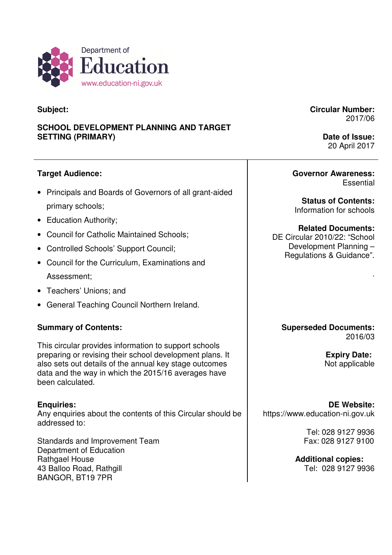

# **Subject:**

# **SCHOOL DEVELOPMENT PLANNING AND TARGET SETTING (PRIMARY)**

# **Target Audience:**

- • Principals and Boards of Governors of all grant-aided primary schools;
- Education Authority;
- Council for Catholic Maintained Schools;
- Controlled Schools' Support Council;
- • Council for the Curriculum, Examinations and Assessment;
- Teachers' Unions; and
- General Teaching Council Northern Ireland.

### **Summary of Contents:**

 This circular provides information to support schools preparing or revising their school development plans. It also sets out details of the annual key stage outcomes data and the way in which the 2015/16 averages have been calculated.

#### **Enquiries:**

 Any enquiries about the contents of this Circular should be addressed to:

 Standards and Improvement Team Department of Education Rathgael House 43 Balloo Road, Rathgill BANGOR, BT19 7PR

**Circular Number:**  2017/06

> **Date of Issue:**  20 April 2017

**Governor Awareness: Essential** 

 **Status of Contents:**  Information for schools

 DE Circular 2010/22: "School Development Planning – Regulations & Guidance". **Related Documents:** 

**Superseded Documents:**  2016/03

> **Expiry Date:**  Not applicable

.

**DE Website:**  https://www.education-ni.gov.uk

> Tel: 028 9127 9936 Fax: 028 9127 9100

 Tel: 028 9127 9936 **Additional copies:**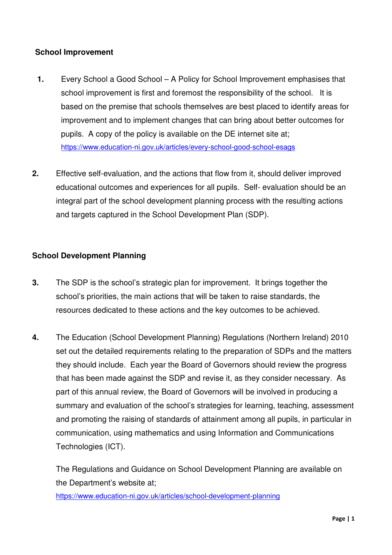### **School Improvement**

- $1.$  school improvement is first and foremost the responsibility of the school. It is based on the premise that schools themselves are best placed to identify areas for improvement and to implement changes that can bring about better outcomes for pupils. A copy of the policy is available on the DE internet site at; Every School a Good School – A Policy for School Improvement emphasises that https://www.education-ni.gov.uk/articles/every-school-good-school-esags
- **2.** Effective self-evaluation, and the actions that flow from it, should deliver improved educational outcomes and experiences for all pupils. Self- evaluation should be an integral part of the school development planning process with the resulting actions and targets captured in the School Development Plan (SDP).

#### **School Development Planning**

- 3. school's priorities, the main actions that will be taken to raise standards, the resources dedicated to these actions and the key outcomes to be achieved. The SDP is the school's strategic plan for improvement. It brings together the
- $\overline{\mathbf{4}}$ . set out the detailed requirements relating to the preparation of SDPs and the matters they should include. Each year the Board of Governors should review the progress that has been made against the SDP and revise it, as they consider necessary. As part of this annual review, the Board of Governors will be involved in producing a summary and evaluation of the school's strategies for learning, teaching, assessment and promoting the raising of standards of attainment among all pupils, in particular in communication, using mathematics and using Information and Communications Technologies (ICT). The Education (School Development Planning) Regulations (Northern Ireland) 2010

 The Regulations and Guidance on School Development Planning are available on the Department's website at;

https://www.education-ni.gov.uk/articles/school-development-planning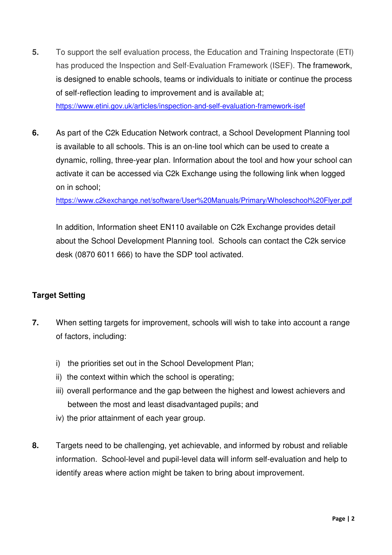- 5. has produced the Inspection and Self-Evaluation Framework (ISEF). The framework, is designed to enable schools, teams or individuals to initiate or continue the process of self-reflection leading to improvement and is available at; **5.** To support the self evaluation process, the Education and Training Inspectorate (ETI) https://www.etini.gov.uk/articles/inspection-and-self-evaluation-framework-isef
- is available to all schools. This is an on-line tool which can be used to create a dynamic, rolling, three-year plan. Information about the tool and how your school can activate it can be accessed via C2k Exchange using the following link when logged on in school; As part of the C2k Education Network contract, a School Development Planning tool

https://www.c2kexchange.net/software/User%20Manuals/Primary/Wholeschool%20Flyer.pdf

 In addition, Information sheet EN110 available on C2k Exchange provides detail about the School Development Planning tool. Schools can contact the C2k service desk (0870 6011 666) to have the SDP tool activated.

### **Target Setting**

- $\overline{7}$ . of factors, including: When setting targets for improvement, schools will wish to take into account a range
	- i) the priorities set out in the School Development Plan;
	- ii) the context within which the school is operating;
	- iii) overall performance and the gap between the highest and lowest achievers and between the most and least disadvantaged pupils; and
	- iv) the prior attainment of each year group.
- **8.** Targets need to be challenging, yet achievable, and informed by robust and reliable information. School-level and pupil-level data will inform self-evaluation and help to identify areas where action might be taken to bring about improvement.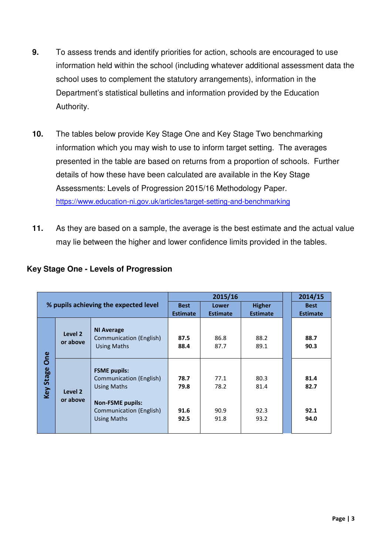- 9. information held within the school (including whatever additional assessment data the school uses to complement the statutory arrangements), information in the Department's statistical bulletins and information provided by the Education **9.** To assess trends and identify priorities for action, schools are encouraged to use Authority.
- $10.$  information which you may wish to use to inform target setting. The averages presented in the table are based on returns from a proportion of schools. Further details of how these have been calculated are available in the Key Stage Assessments: Levels of Progression 2015/16 Methodology Paper. The tables below provide Key Stage One and Key Stage Two benchmarking https://www.education-ni.gov.uk/articles/target-setting-and-benchmarking
- $11.$  may lie between the higher and lower confidence limits provided in the tables. As they are based on a sample, the average is the best estimate and the actual value

| % pupils achieving the expected level |                     |                                                                                                                                                  | 2015/16                      |                              |                              | 2014/15                      |
|---------------------------------------|---------------------|--------------------------------------------------------------------------------------------------------------------------------------------------|------------------------------|------------------------------|------------------------------|------------------------------|
|                                       |                     |                                                                                                                                                  | <b>Best</b>                  | Lower                        | <b>Higher</b>                | <b>Best</b>                  |
|                                       |                     | <b>Estimate</b>                                                                                                                                  | <b>Estimate</b>              | <b>Estimate</b>              | <b>Estimate</b>              |                              |
| One<br><b>Key Stage</b>               | Level 2<br>or above | <b>NI Average</b><br>Communication (English)<br><b>Using Maths</b>                                                                               | 87.5<br>88.4                 | 86.8<br>87.7                 | 88.2<br>89.1                 | 88.7<br>90.3                 |
|                                       | Level 2<br>or above | <b>FSME pupils:</b><br>Communication (English)<br><b>Using Maths</b><br><b>Non-FSME pupils:</b><br>Communication (English)<br><b>Using Maths</b> | 78.7<br>79.8<br>91.6<br>92.5 | 77.1<br>78.2<br>90.9<br>91.8 | 80.3<br>81.4<br>92.3<br>93.2 | 81.4<br>82.7<br>92.1<br>94.0 |

# **Key Stage One - Levels of Progression**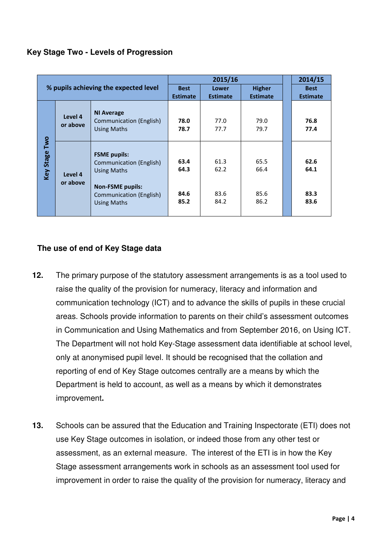|  | Key Stage Two - Levels of Progression |
|--|---------------------------------------|
|--|---------------------------------------|

| % pupils achieving the expected level |                     |                                                                                                                                                         | 2015/16                      |                              |                              | 2014/15                      |
|---------------------------------------|---------------------|---------------------------------------------------------------------------------------------------------------------------------------------------------|------------------------------|------------------------------|------------------------------|------------------------------|
|                                       |                     |                                                                                                                                                         | <b>Best</b>                  | Lower                        | <b>Higher</b>                | <b>Best</b>                  |
|                                       |                     | <b>Estimate</b>                                                                                                                                         | <b>Estimate</b>              | <b>Estimate</b>              | <b>Estimate</b>              |                              |
| Two<br><b>Key Stage</b>               | Level 4<br>or above | <b>NI Average</b><br>Communication (English)<br><b>Using Maths</b>                                                                                      | 78.0<br>78.7                 | 77.0<br>77.7                 | 79.0<br>79.7                 | 76.8<br>77.4                 |
|                                       | Level 4<br>or above | <b>FSME</b> pupils:<br>Communication (English)<br><b>Using Maths</b><br><b>Non-FSME pupils:</b><br><b>Communication (English)</b><br><b>Using Maths</b> | 63.4<br>64.3<br>84.6<br>85.2 | 61.3<br>62.2<br>83.6<br>84.2 | 65.5<br>66.4<br>85.6<br>86.2 | 62.6<br>64.1<br>83.3<br>83.6 |

#### **The use of end of Key Stage data**

- $12.$  raise the quality of the provision for numeracy, literacy and information and communication technology (ICT) and to advance the skills of pupils in these crucial areas. Schools provide information to parents on their child's assessment outcomes in Communication and Using Mathematics and from September 2016, on Using ICT. The Department will not hold Key-Stage assessment data identifiable at school level, only at anonymised pupil level. It should be recognised that the collation and reporting of end of Key Stage outcomes centrally are a means by which the Department is held to account, as well as a means by which it demonstrates The primary purpose of the statutory assessment arrangements is as a tool used to improvement**.**
- $13.$  use Key Stage outcomes in isolation, or indeed those from any other test or assessment, as an external measure. The interest of the ETI is in how the Key Stage assessment arrangements work in schools as an assessment tool used for improvement in order to raise the quality of the provision for numeracy, literacy and Schools can be assured that the Education and Training Inspectorate (ETI) does not